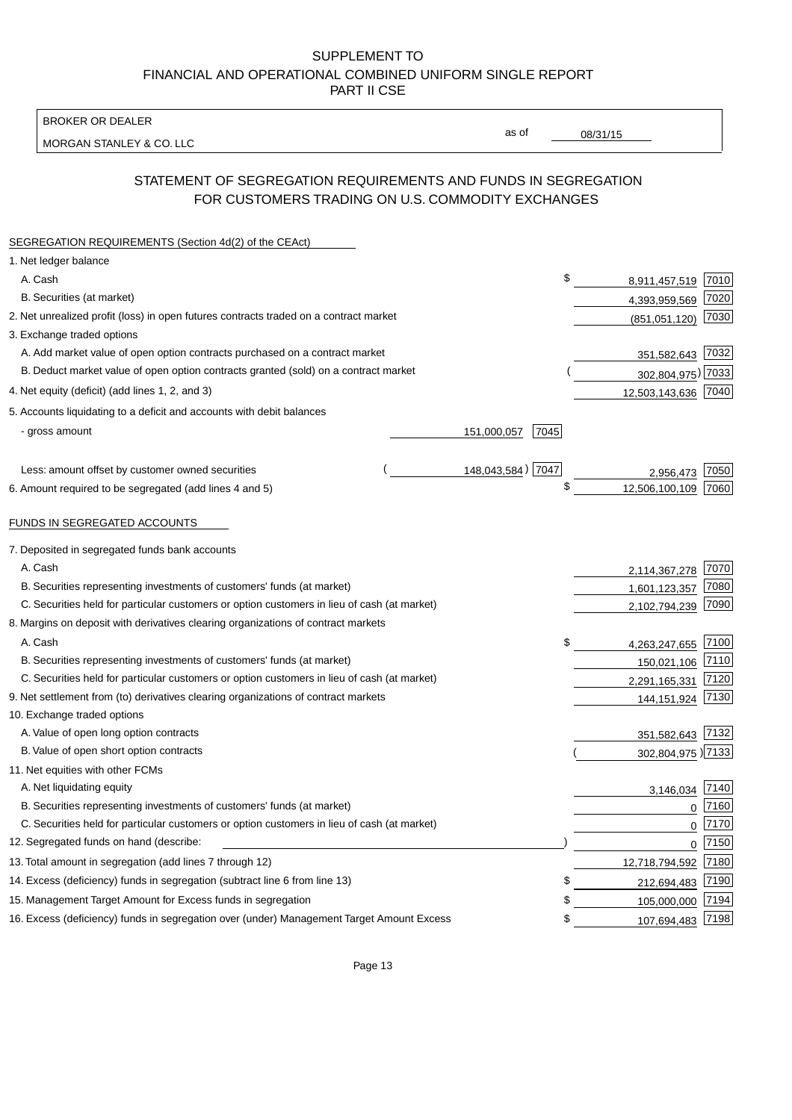BROKER OR DEALER

MORGAN STANLEY & CO. LLC

08/31/15

as of

# STATEMENT OF SEGREGATION REQUIREMENTS AND FUNDS IN SEGREGATION FOR CUSTOMERS TRADING ON U.S. COMMODITY EXCHANGES

| SEGREGATION REQUIREMENTS (Section 4d(2) of the CEAct)                                       |                     |                     |          |
|---------------------------------------------------------------------------------------------|---------------------|---------------------|----------|
| 1. Net ledger balance                                                                       |                     |                     |          |
| A. Cash                                                                                     | \$                  | 8,911,457,519 7010  |          |
| B. Securities (at market)                                                                   |                     | 4,393,959,569       | 7020     |
| 2. Net unrealized profit (loss) in open futures contracts traded on a contract market       |                     | (851,051,120)       | 7030     |
| 3. Exchange traded options                                                                  |                     |                     |          |
| A. Add market value of open option contracts purchased on a contract market                 |                     | 351,582,643 7032    |          |
| B. Deduct market value of open option contracts granted (sold) on a contract market         |                     | 302,804,975) 7033   |          |
| 4. Net equity (deficit) (add lines 1, 2, and 3)                                             |                     | 12,503,143,636 7040 |          |
| 5. Accounts liquidating to a deficit and accounts with debit balances                       |                     |                     |          |
| - gross amount                                                                              | 151,000,057<br>7045 |                     |          |
|                                                                                             |                     |                     |          |
| Less: amount offset by customer owned securities                                            | 148,043,584) 7047   | 2,956,473           | 7050     |
| 6. Amount required to be segregated (add lines 4 and 5)                                     | \$                  | 12,506,100,109      | 7060     |
|                                                                                             |                     |                     |          |
| FUNDS IN SEGREGATED ACCOUNTS                                                                |                     |                     |          |
| 7. Deposited in segregated funds bank accounts                                              |                     |                     |          |
| A. Cash                                                                                     |                     | 2,114,367,278       | 7070     |
| B. Securities representing investments of customers' funds (at market)                      |                     | 1,601,123,357       | 7080     |
| C. Securities held for particular customers or option customers in lieu of cash (at market) |                     | 2,102,794,239       | 7090     |
| 8. Margins on deposit with derivatives clearing organizations of contract markets           |                     |                     |          |
| A. Cash                                                                                     | \$                  | 4,263,247,655       | 7100     |
| B. Securities representing investments of customers' funds (at market)                      |                     | 150,021,106         | 7110     |
| C. Securities held for particular customers or option customers in lieu of cash (at market) |                     | 2,291,165,331       | 7120     |
| 9. Net settlement from (to) derivatives clearing organizations of contract markets          |                     | 144,151,924         | 7130     |
| 10. Exchange traded options                                                                 |                     |                     |          |
| A. Value of open long option contracts                                                      |                     | 351,582,643 7132    |          |
| B. Value of open short option contracts                                                     |                     | 302,804,975) 7133   |          |
| 11. Net equities with other FCMs                                                            |                     |                     |          |
| A. Net liquidating equity                                                                   |                     | 3,146,034           | 7140     |
| B. Securities representing investments of customers' funds (at market)                      |                     | $\mathbf 0$         | 7160     |
| C. Securities held for particular customers or option customers in lieu of cash (at market) |                     | $\mathbf 0$         | 7170     |
| 12. Segregated funds on hand (describe:                                                     |                     |                     | $0$ 7150 |
| 13. Total amount in segregation (add lines 7 through 12)                                    |                     | 12,718,794,592 7180 |          |
| 14. Excess (deficiency) funds in segregation (subtract line 6 from line 13)                 | \$                  | 212,694,483         | 7190     |
| 15. Management Target Amount for Excess funds in segregation                                | \$                  | 105,000,000         | 7194     |
| 16. Excess (deficiency) funds in segregation over (under) Management Target Amount Excess   | \$                  | 107,694,483 7198    |          |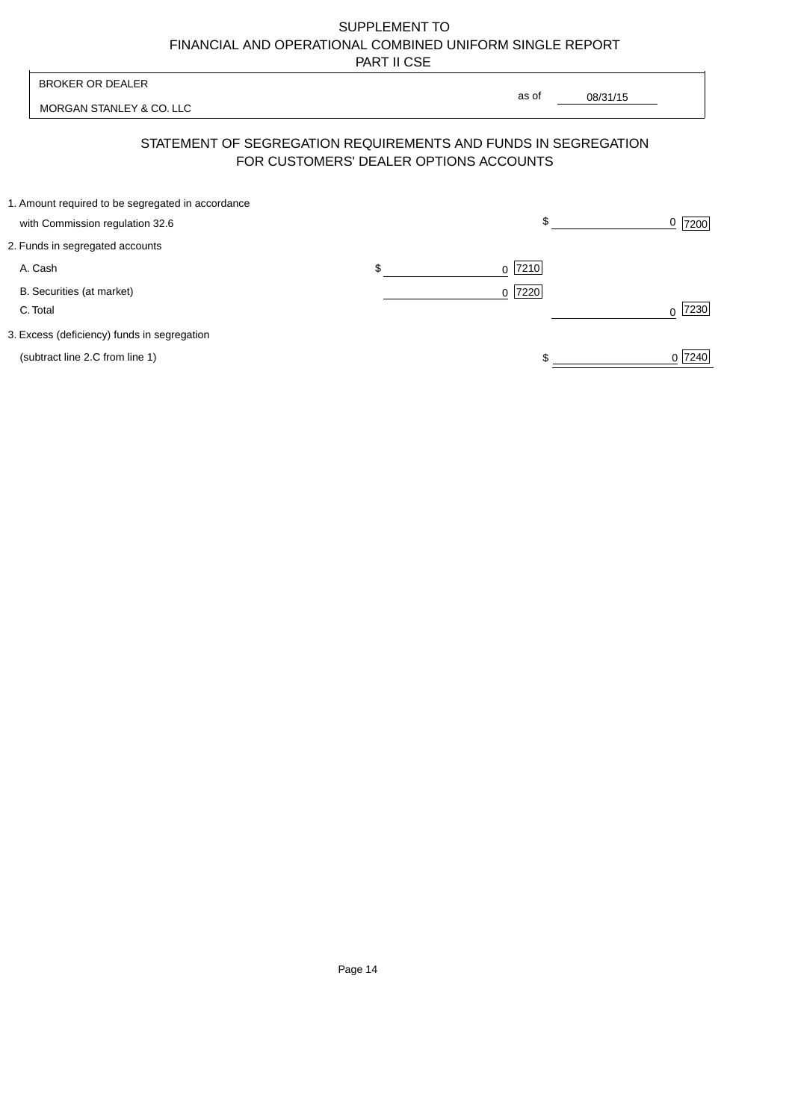| <b>BROKER OR DEALER</b>                                                              | as of                                                                                                    |                  |
|--------------------------------------------------------------------------------------|----------------------------------------------------------------------------------------------------------|------------------|
| MORGAN STANLEY & CO. LLC                                                             | 08/31/15                                                                                                 |                  |
|                                                                                      | STATEMENT OF SEGREGATION REQUIREMENTS AND FUNDS IN SEGREGATION<br>FOR CUSTOMERS' DEALER OPTIONS ACCOUNTS |                  |
| 1. Amount required to be segregated in accordance<br>with Commission regulation 32.6 | \$                                                                                                       | 0<br>7200        |
| 2. Funds in segregated accounts                                                      |                                                                                                          |                  |
| A. Cash                                                                              | \$<br>7210<br><sup>0</sup>                                                                               |                  |
| B. Securities (at market)<br>C. Total                                                | 0 7220                                                                                                   | 7230<br>$\Omega$ |
| 3. Excess (deficiency) funds in segregation                                          |                                                                                                          |                  |
| (subtract line 2.C from line 1)                                                      |                                                                                                          | 0 7240           |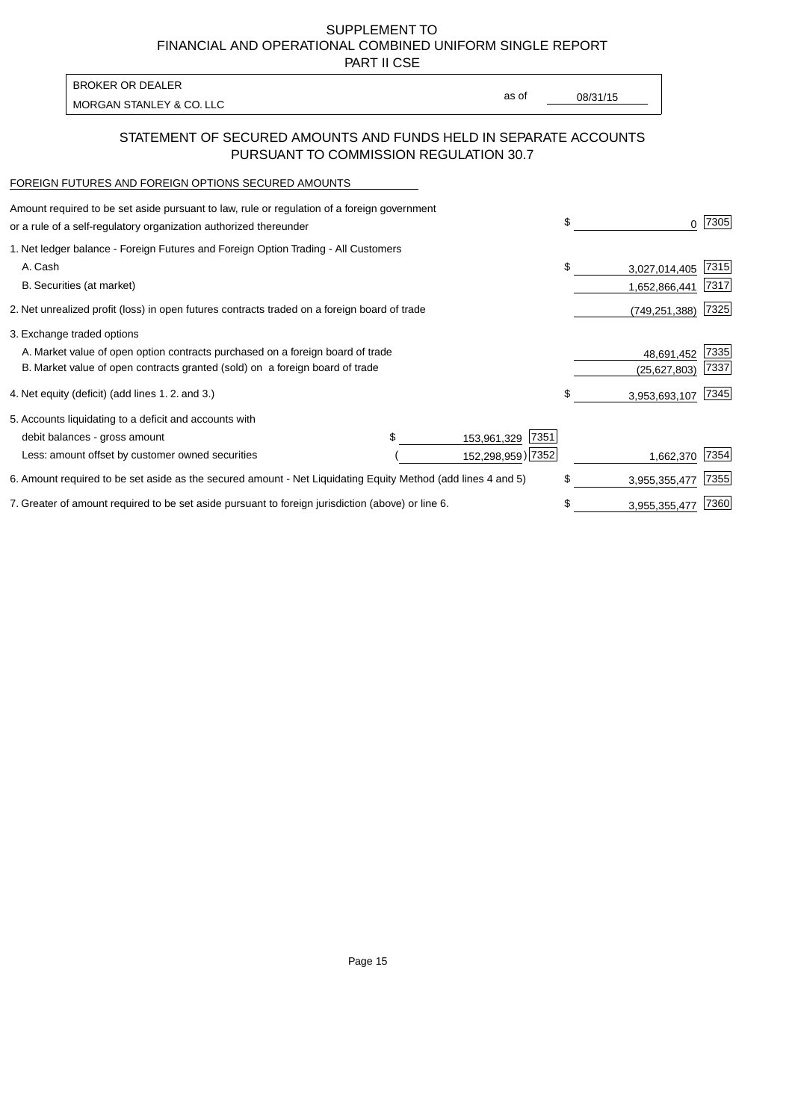PART II CSE

| <b>BROKER OR DEALER</b>  |       |          |
|--------------------------|-------|----------|
| MORGAN STANLEY & CO. LLC | as of | 08/31/15 |
|                          |       |          |

## STATEMENT OF SECURED AMOUNTS AND FUNDS HELD IN SEPARATE ACCOUNTS PURSUANT TO COMMISSION REGULATION 30.7

#### FOREIGN FUTURES AND FOREIGN OPTIONS SECURED AMOUNTS

| Amount required to be set aside pursuant to law, rule or regulation of a foreign government<br>or a rule of a self-regulatory organization authorized thereunder |  |                     | \$<br>0             | 7305 |
|------------------------------------------------------------------------------------------------------------------------------------------------------------------|--|---------------------|---------------------|------|
| 1. Net ledger balance - Foreign Futures and Foreign Option Trading - All Customers                                                                               |  |                     |                     |      |
| A. Cash                                                                                                                                                          |  |                     | \$<br>3,027,014,405 | 7315 |
| B. Securities (at market)                                                                                                                                        |  |                     | 1,652,866,441       | 7317 |
| 2. Net unrealized profit (loss) in open futures contracts traded on a foreign board of trade                                                                     |  |                     | (749,251,388)       | 7325 |
| 3. Exchange traded options                                                                                                                                       |  |                     |                     |      |
| A. Market value of open option contracts purchased on a foreign board of trade                                                                                   |  |                     | 48,691,452          | 7335 |
| B. Market value of open contracts granted (sold) on a foreign board of trade                                                                                     |  |                     | (25, 627, 803)      | 7337 |
| 4. Net equity (deficit) (add lines 1.2. and 3.)                                                                                                                  |  |                     | \$<br>3,953,693,107 | 7345 |
| 5. Accounts liquidating to a deficit and accounts with                                                                                                           |  |                     |                     |      |
| debit balances - gross amount                                                                                                                                    |  | 7351<br>153,961,329 |                     |      |
| Less: amount offset by customer owned securities                                                                                                                 |  | 152,298,959) 7352   | 1,662,370           | 7354 |
| 6. Amount required to be set aside as the secured amount - Net Liquidating Equity Method (add lines 4 and 5)                                                     |  |                     | \$<br>3,955,355,477 | 7355 |
| 7. Greater of amount required to be set aside pursuant to foreign jurisdiction (above) or line 6.                                                                |  |                     | \$<br>3,955,355,477 | 7360 |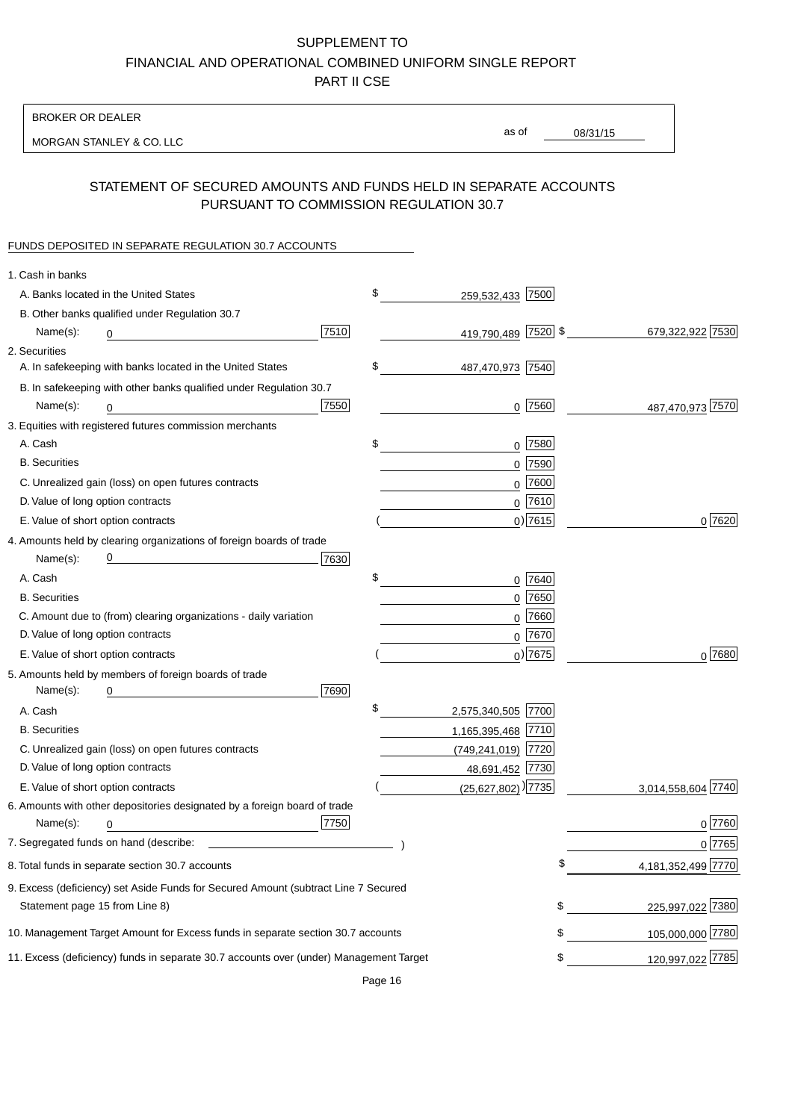BROKER OR DEALER

MORGAN STANLEY & CO. LLC

08/31/15 as of

# STATEMENT OF SECURED AMOUNTS AND FUNDS HELD IN SEPARATE ACCOUNTS PURSUANT TO COMMISSION REGULATION 30.7

### FUNDS DEPOSITED IN SEPARATE REGULATION 30.7 ACCOUNTS

| 1. Cash in banks                   |                                                                                        |      |                                    |    |                    |
|------------------------------------|----------------------------------------------------------------------------------------|------|------------------------------------|----|--------------------|
|                                    | A. Banks located in the United States                                                  |      | \$<br>259,532,433 7500             |    |                    |
|                                    | B. Other banks qualified under Regulation 30.7                                         |      |                                    |    |                    |
| Name(s):                           | 0                                                                                      | 7510 | 419,790,489 7520 \$                |    | 679,322,922 7530   |
| 2. Securities                      |                                                                                        |      |                                    |    |                    |
|                                    | A. In safekeeping with banks located in the United States                              |      | \$<br>487,470,973 7540             |    |                    |
|                                    | B. In safekeeping with other banks qualified under Regulation 30.7                     |      |                                    |    |                    |
| Name(s):                           | 0                                                                                      | 7550 | $0$ 7560                           |    | 487,470,973 7570   |
|                                    | 3. Equities with registered futures commission merchants                               |      |                                    |    |                    |
| A. Cash                            |                                                                                        |      | \$<br>$0$ 7580                     |    |                    |
| <b>B.</b> Securities               |                                                                                        |      | $0$ 7590                           |    |                    |
|                                    | C. Unrealized gain (loss) on open futures contracts                                    |      | $0$ 7600                           |    |                    |
| D. Value of long option contracts  |                                                                                        |      | $0$ 7610                           |    |                    |
| E. Value of short option contracts |                                                                                        |      | $0)$ 7615                          |    | 0 7620             |
|                                    | 4. Amounts held by clearing organizations of foreign boards of trade                   |      |                                    |    |                    |
| Name(s):                           |                                                                                        | 7630 |                                    |    |                    |
| A. Cash                            |                                                                                        |      | \$<br>$0$ 7640                     |    |                    |
| <b>B.</b> Securities               |                                                                                        |      | $0$ 7650                           |    |                    |
|                                    | C. Amount due to (from) clearing organizations - daily variation                       |      | $0$ 7660                           |    |                    |
| D. Value of long option contracts  |                                                                                        |      | $0^{7670}$                         |    |                    |
| E. Value of short option contracts |                                                                                        |      | $_0$ ) 7675                        |    | 0 7680             |
|                                    | 5. Amounts held by members of foreign boards of trade                                  |      |                                    |    |                    |
| Name(s):                           |                                                                                        | 7690 |                                    |    |                    |
| A. Cash                            |                                                                                        |      | \$<br>2,575,340,505 7700           |    |                    |
| <b>B.</b> Securities               |                                                                                        |      | 1,165,395,468 7710                 |    |                    |
|                                    | C. Unrealized gain (loss) on open futures contracts                                    |      | (749,241,019) 7720                 |    |                    |
| D. Value of long option contracts  |                                                                                        |      | 48,691,452 7730                    |    |                    |
| E. Value of short option contracts |                                                                                        |      | $(25,627,802)$ <sup>)</sup> [7735] |    | 3,014,558,604 7740 |
|                                    | 6. Amounts with other depositories designated by a foreign board of trade              |      |                                    |    |                    |
| Name(s):                           | 0                                                                                      | 7750 |                                    |    | 0 7760             |
|                                    |                                                                                        |      |                                    |    | 0 7765             |
|                                    | 8. Total funds in separate section 30.7 accounts                                       |      |                                    | ፍ  | 4,181,352,499 7770 |
|                                    | 9. Excess (deficiency) set Aside Funds for Secured Amount (subtract Line 7 Secured     |      |                                    |    |                    |
| Statement page 15 from Line 8)     |                                                                                        |      |                                    | \$ | 225,997,022 7380   |
|                                    | 10. Management Target Amount for Excess funds in separate section 30.7 accounts        |      |                                    | \$ | 105,000,000 7780   |
|                                    | 11. Excess (deficiency) funds in separate 30.7 accounts over (under) Management Target |      |                                    | \$ | 120,997,022 7785   |
|                                    |                                                                                        |      |                                    |    |                    |